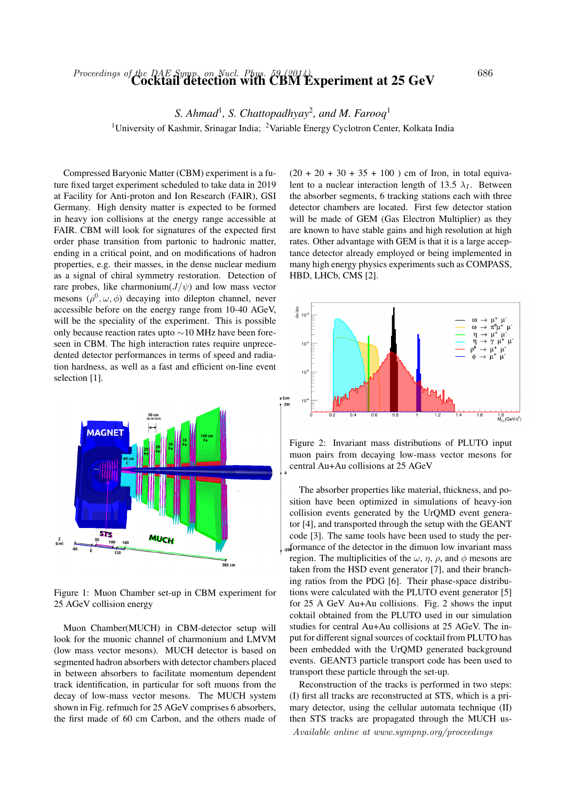## Proceedings of the DAE Symp. on Nucl. Phys. 59 (2014)<br>Cocktail detection with CBM Experiment at 25 GeV  $^{686}$

*S. Ahmad*<sup>1</sup> *, S. Chattopadhyay*<sup>2</sup> *, and M. Farooq*<sup>1</sup>

<sup>1</sup>University of Kashmir, Srinagar India; <sup>2</sup>Variable Energy Cyclotron Center, Kolkata India

Compressed Baryonic Matter (CBM) experiment is a future fixed target experiment scheduled to take data in 2019 at Facility for Anti-proton and Ion Research (FAIR), GSI Germany. High density matter is expected to be formed in heavy ion collisions at the energy range accessible at FAIR. CBM will look for signatures of the expected first order phase transition from partonic to hadronic matter, ending in a critical point, and on modifications of hadron properties, e.g. their masses, in the dense nuclear medium as a signal of chiral symmetry restoration. Detection of rare probes, like charmonium( $J/\psi$ ) and low mass vector mesons  $(\rho^0, \omega, \phi)$  decaying into dilepton channel, never accessible before on the energy range from 10-40 AGeV, will be the speciality of the experiment. This is possible only because reaction rates upto ∼10 MHz have been foreseen in CBM. The high interaction rates require unprecedented detector performances in terms of speed and radiation hardness, as well as a fast and efficient on-line event selection [1].



Figure 1: Muon Chamber set-up in CBM experiment for 25 AGeV collision energy

Muon Chamber(MUCH) in CBM-detector setup will look for the muonic channel of charmonium and LMVM (low mass vector mesons). MUCH detector is based on segmented hadron absorbers with detector chambers placed in between absorbers to facilitate momentum dependent track identification, in particular for soft muons from the decay of low-mass vector mesons. The MUCH system shown in Fig. refmuch for 25 AGeV comprises 6 absorbers, the first made of 60 cm Carbon, and the others made of  $(20 + 20 + 30 + 35 + 100)$  cm of Iron, in total equivalent to a nuclear interaction length of 13.5  $\lambda_I$ . Between the absorber segments, 6 tracking stations each with three detector chambers are located. First few detector station will be made of GEM (Gas Electron Multiplier) as they are known to have stable gains and high resolution at high rates. Other advantage with GEM is that it is a large acceptance detector already employed or being implemented in many high energy physics experiments such as COMPASS, HBD, LHCb, CMS [2].



Figure 2: Invariant mass distributions of PLUTO input muon pairs from decaying low-mass vector mesons for central Au+Au collisions at 25 AGeV

The absorber properties like material, thickness, and position have been optimized in simulations of heavy-ion collision events generated by the UrQMD event generator [4], and transported through the setup with the GEANT code [3]. The same tools have been used to study the per-<sub>29</sub> formance of the detector in the dimuon low invariant mass region. The multiplicities of the  $\omega$ ,  $\eta$ ,  $\rho$ , and  $\phi$  mesons are taken from the HSD event generator [7], and their branching ratios from the PDG [6]. Their phase-space distributions were calculated with the PLUTO event generator [5] for 25 A GeV Au+Au collisions. Fig. 2 shows the input coktail obtained from the PLUTO used in our simulation studies for central Au+Au collisions at 25 AGeV. The input for different signal sources of cocktail from PLUTO has been embedded with the UrQMD generated background events. GEANT3 particle transport code has been used to transport these particle through the set-up.

Reconstruction of the tracks is performed in two steps: (I) first all tracks are reconstructed at STS, which is a primary detector, using the cellular automata technique (II) then STS tracks are propagated through the MUCH us-Available online at www.sympnp.org/proceedings